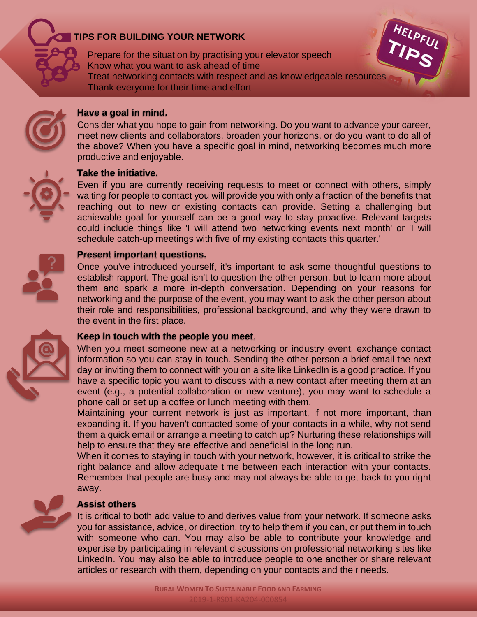

# **TIPS FOR BUILDING YOUR NETWORK**

Prepare for the situation by practising your elevator speech Know what you want to ask ahead of time Treat networking contacts with respect and as knowledgeable resources Thank everyone for their time and effort



# **Have a goal in mind.**

Consider what you hope to gain from networking. Do you want to advance your career, meet new clients and collaborators, broaden your horizons, or do you want to do all of the above? When you have a specific goal in mind, networking becomes much more productive and enjoyable.

### **Take the initiative.**

Even if you are currently receiving requests to meet or connect with others, simply waiting for people to contact you will provide you with only a fraction of the benefits that reaching out to new or existing contacts can provide. Setting a challenging but achievable goal for yourself can be a good way to stay proactive. Relevant targets could include things like 'I will attend two networking events next month' or 'I will schedule catch-up meetings with five of my existing contacts this quarter.'

# **Present important questions.**

Once you've introduced yourself, it's important to ask some thoughtful questions to establish rapport. The goal isn't to question the other person, but to learn more about them and spark a more in-depth conversation. Depending on your reasons for networking and the purpose of the event, you may want to ask the other person about their role and responsibilities, professional background, and why they were drawn to the event in the first place.



# **Keep in touch with the people you meet**.

When you meet someone new at a networking or industry event, exchange contact information so you can stay in touch. Sending the other person a brief email the next day or inviting them to connect with you on a site like LinkedIn is a good practice. If you have a specific topic you want to discuss with a new contact after meeting them at an event (e.g., a potential collaboration or new venture), you may want to schedule a phone call or set up a coffee or lunch meeting with them.

Maintaining your current network is just as important, if not more important, than expanding it. If you haven't contacted some of your contacts in a while, why not send them a quick email or arrange a meeting to catch up? Nurturing these relationships will help to ensure that they are effective and beneficial in the long run.

When it comes to staying in touch with your network, however, it is critical to strike the right balance and allow adequate time between each interaction with your contacts. Remember that people are busy and may not always be able to get back to you right away.

# **Assist others**

It is critical to both add value to and derives value from your network. If someone asks you for assistance, advice, or direction, try to help them if you can, or put them in touch with someone who can. You may also be able to contribute your knowledge and expertise by participating in relevant discussions on professional networking sites like LinkedIn. You may also be able to introduce people to one another or share relevant articles or research with them, depending on your contacts and their needs.